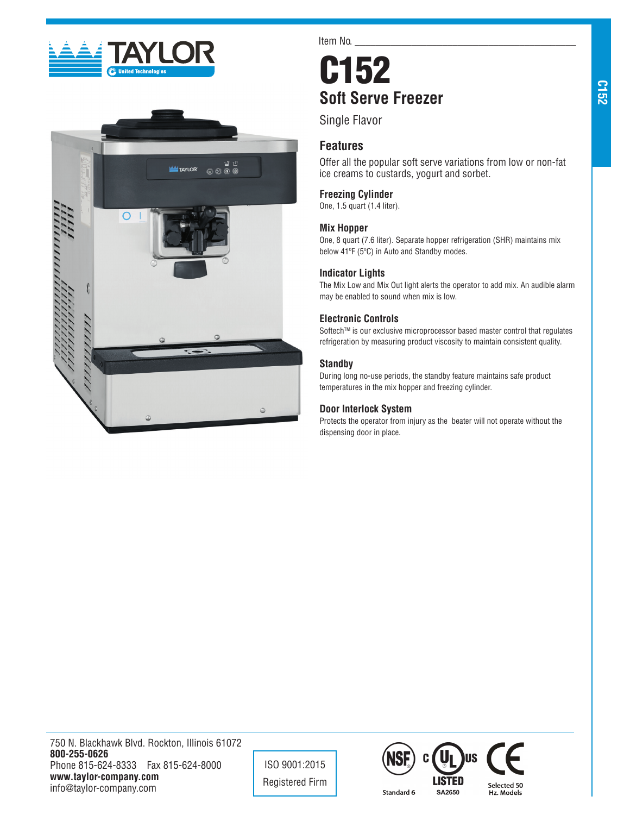



Item No.

# C152 **Soft Serve Freezer**

Single Flavor

# **Features**

Offer all the popular soft serve variations from low or non-fat ice creams to custards, yogurt and sorbet.

## **Freezing Cylinder**

One, 1.5 quart (1.4 liter).

## **Mix Hopper**

One, 8 quart (7.6 liter). Separate hopper refrigeration (SHR) maintains mix below 41ºF (5ºC) in Auto and Standby modes.

## **Indicator Lights**

The Mix Low and Mix Out light alerts the operator to add mix. An audible alarm may be enabled to sound when mix is low.

## **Electronic Controls**

Softech™ is our exclusive microprocessor based master control that regulates refrigeration by measuring product viscosity to maintain consistent quality.

## **Standby**

During long no-use periods, the standby feature maintains safe product temperatures in the mix hopper and freezing cylinder.

## **Door Interlock System**

Protects the operator from injury as the beater will not operate without the dispensing door in place.

**C152**